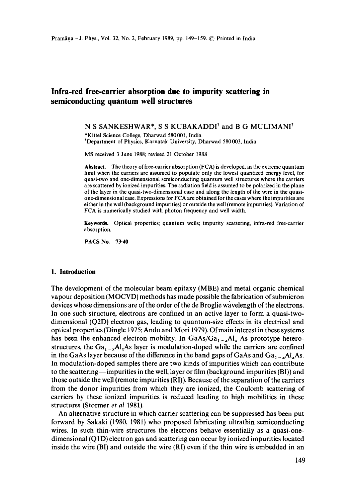# **Infra-red free-carrier absorption due to impurity scattering in semiconducting quantum well structures**

N S SANKESHWAR\*, S S KUBAKADDI<sup>†</sup> and B G MULIMANI<sup>†</sup>

• Kittel Science College, Dharwad 580001, India 'Department of Physics, Karnatak University, Dharwad 580003, India

MS received 3 June 1988; revised 21 October 1988

**Abstract.** The theory of free-carrier absorption (FCA) is developed, in the extreme quantum limit when the carriers are assumed to populate only the lowest quantized energy level, for quasi-two and one-dimensional semiconducting quantum well structures where the carriers are scattered by ionized impurities. The radiation field is assumed to be polarized in the plane of the layer in the quasi-two-dimensional case and along the length of the wire in the quasione-dimensional case. Expressions for FCA are obtained for the cases where the impurities are either in the well (background impurities) or outside the well (remote impurities). Variation of FCA is numerically studied with photon frequency and well width.

**Keywords.** Optical properties; quantum wells; impurity scattering, infra-red free-carrier absorption.

**PACS No. 73.40** 

# **1. Introduction**

The development of the molecular beam epitaxy (MBE) and metal organic chemical vapour deposition (MOCVD) methods has made possible the fabrication of submicron devices whose dimensions are of the order of the de Broglie wavelength of the electrons. In one such structure, electrons are confined in an active layer to form a quasi-twodimensional (Q2D) electron gas, leading to quantum-size effects in its electrical and optical properties (Dingle 1975; Ando and Mori ! 979). Of main interest in these systems has been the enhanced electron mobility. In  $GaAs/Ga_{1-x}Al_x$  As prototype heterostructures, the Ga<sub>1-x</sub>Al<sub>x</sub>As layer is modulation-doped while the carriers are confined in the GaAs layer because of the difference in the band gaps of GaAs and  $Ga_{1-x}Al_xAs$ . In modulation-doped samples there are two kinds of impurities which can contribute to the scattering—impurities in the well, layer or film (background impurities  $(BI)$ ) and those outside the well (remote impurities (RI)). Because of the separation of the carriers from the donor impurities from which they are ionized, the Coulomb scattering of carriers by these ionized impurities is reduced leading to high mobilities in these structures (Stormer *et al* 1981).

An alternative structure in which carrier scattering can be suppressed has been put forward by Sakaki (1980, 1981) who proposed fabricating uitrathin semiconducting wires. In such thin-wire structures the electrons behave essentially as a quasi-onedimensional (Q1D) electron gas and scattering can occur by ionized impurities located inside the wire (BI) and outside the wire (RI) even if the thin wire is embedded in an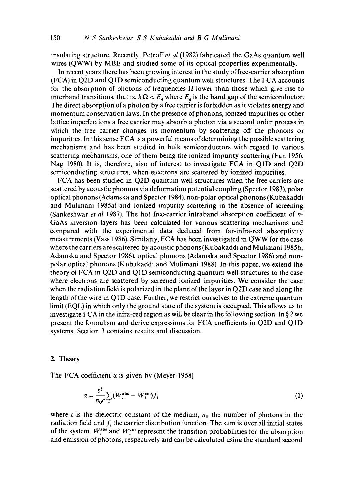insulating structure. Recently, Petroff *et al* (1982) fabricated the GaAs quantum well wires (QWW) by MBE and studied some of its optical properties experimentally.

In recent years there has been growing interest in the study of free-carrier absorption (FCA) in Q2D and Q1D semiconducting quantum well structures. The FCA accounts for the absorption of photons of frequencies  $\Omega$  lower than those which give rise to interband transitions, that is,  $\hbar \Omega < E_{q}$  where  $E_{q}$  is the band gap of the semiconductor. The direct absorption of a photon by a free carrier is forbidden as it violates energy and momentum conservation laws. In the presence of phonons, ionized impurities or other lattice imperfections a free carrier may absorb a photon via a second order process in which the free carrier changes its momentum by scattering off the phonons or impurities. In this sense FCA is a powerful means of determining the possible scattering mechanisms and has been studied in bulk semiconductors with regard to various scattering mechanisms, one of them being the ionized impurity scattering (Fan 1956; Nag 1980). It is, therefore, also of interest to investigate FCA in Q1D and Q2D semiconducting structures, when electrons are scattered by ionized impurities.

FCA has been studied in Q2D quantum well structures when the free carriers are scattered by acoustic phonons via deformation potential coupling (Spector 1983), polar optical phonons (Adamska and Spector ! 984), non-polar optical phonons (Kubakaddi and Mulimani 1985a) and ionized impurity scattering in the absence of screening (Sankeshwar *et al* 1987). The hot free-carrier intraband absorption coefficient of n-GaAs inversion layers has been calculated for various scattering mechanisms and compared with the experimental data deduced from far-infra-red absorptivity measurements (Vass 1986). Similarly, FCA has been investigated in QWW for the case where the carriers are scattered by acoustic phonons (Kubakaddi and Mulimani 1985b; Adamska and Spector 1986), optical phonons (Adamska and Spector 1986) and nonpolar optical phonons (Kubakaddi and Mulimani 1988). In this paper, we extend the theory of FCA in Q2D and Q1D semiconducting quantum well structures to the case where electrons are scattered by screened ionized impurities. We consider the case when the radiation field is polarized in the plane of the layer in Q2D case and along the length of the wire in Q<sub>1</sub>D case. Further, we restrict ourselves to the extreme quantum limit (EQL) in which only the ground state of the system is occupied. This allows us to investigate FCA in the infra-red region as will be clear in the following section. In  $\S 2$  we present the formalism and derive expressions for FCA coefficients in Q2D and QID systems. Section 3 contains results and discussion.

# 2. **Theory**

The FCA coefficient  $\alpha$  is given by (Meyer 1958)

$$
\alpha = \frac{\varepsilon^{\frac{1}{2}}}{n_0 c} \sum_i (W_i^{\text{abs}} - W_i^{\text{em}}) f_i \tag{1}
$$

where  $\varepsilon$  is the dielectric constant of the medium,  $n_0$  the number of photons in the radiation field and  $f_i$  the carrier distribution function. The sum is over all initial states of the system.  $W_i^{abs}$  and  $W_i^{cm}$  represent the transition probabilities for the absorption and emission of photons, respectively and can be calculated using the standard second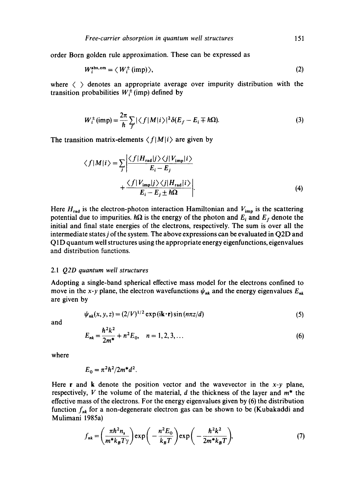order Born golden rule approximation. These can be expressed as

$$
W_i^{\text{abs, em}} = \langle W_i^{\pm} \text{ (imp)} \rangle, \tag{2}
$$

where  $\langle \rangle$  denotes an appropriate average over impurity distribution with the transition probabilities  $W_i^{\pm}$  (imp) defined by

$$
W_i^{\pm}(\text{imp}) = \frac{2\pi}{\hbar} \sum_{f} |\langle f | M | i \rangle|^2 \delta(E_f - E_i \mp \hbar \Omega). \tag{3}
$$

The transition matrix-elements  $\langle f|M|i\rangle$  are given by

$$
\langle f|M|i\rangle = \sum_{j} \left| \frac{\langle f|H_{\text{rad}}|j\rangle\langle j|V_{\text{imp}}|i\rangle}{E_{i} - E_{j}} + \frac{\langle f|V_{\text{imp}}|j\rangle\langle j|H_{\text{rad}}|i\rangle}{E_{i} - E_{j} \pm \hbar\Omega} \right|.
$$
\n(4)

Here  $H_{rad}$  is the electron-photon interaction Hamiltonian and  $V_{imp}$  is the scattering potential due to impurities.  $\hbar\Omega$  is the energy of the photon and  $E_i$  and  $E_f$  denote the initial and final state energies of the electrons, respectively. The sum is over all the intermediate statesj of the system. The above expressions can be evaluated in Q2D and Q1D quantum well structures using the appropriate energy eigenfunctions, eigenvalues and distribution functions.

#### *2.1 Q2D quantum well structures*

Adopting a single-band spherical effective mass model for the electrons confined to move in the x-y plane, the electron wavefunctions  $\psi_{nk}$  and the energy eigenvalues  $E_{nk}$ are given by

$$
\psi_{nk}(x, y, z) = (2/V)^{1/2} \exp\left(i\mathbf{k} \cdot \mathbf{r}\right) \sin\left(n\pi z/d\right) \tag{5}
$$

and

$$
E_{nk} = \frac{\hbar^2 k^2}{2m^*} + n^2 E_0, \quad n = 1, 2, 3, ... \tag{6}
$$

where

$$
E_0 = \pi^2 h^2 / 2m^* d^2
$$
.

Here r and k denote the position vector and the wavevector in the *x-y* plane, respectively, V the volume of the material, d the thickness of the layer and  $m^*$  the effective mass of the electrons. For the energy eigenvalues given by (6) the distribution function  $f_{nk}$  for a non-degenerate electron gas can be shown to be (Kubakaddi and Mulimani 1985a)

$$
f_{nk} = \left(\frac{\pi \hbar^2 n_s}{m^* k_B T \gamma}\right) \exp\left(-\frac{n^2 E_0}{k_B T}\right) \exp\left(-\frac{\hbar^2 k^2}{2m^* k_B T}\right),\tag{7}
$$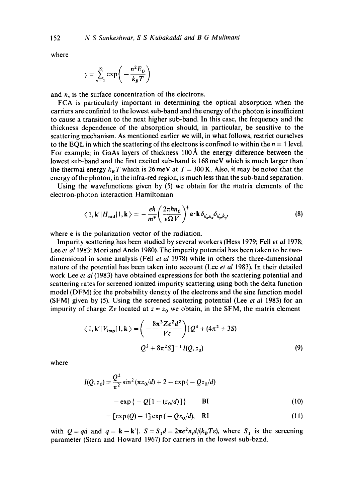where

$$
\gamma = \sum_{n=1}^{\infty} \exp\left(-\frac{n^2 E_0}{k_B T}\right)
$$

and  $n<sub>s</sub>$  is the surface concentration of the electrons.

FCA is particularly important in determining the optical absorption when the carriers are confined to the lowest sub-band and the energy of the photon is insufficient to cause a transition to the next higher sub-band. In this case, the frequency and the thickness dependence of the absorption should, in particular, be sensitive to the scattering mechanism. As mentioned earlier we will, in what follows, restrict ourselves to the EQL in which the scattering of the electrons is confined to within the  $n = 1$  level. For example, in GaAs layers of thickness  $100~\text{\AA}$  the energy difference between the lowest sub-band and the first excited sub-band is 168 meV which is much larger than the thermal energy  $k_B T$  which is 26 meV at  $T = 300$  K. Also, it may be noted that the energy of the photon, in the infra-red region, is much less than the sub-band separation.

Using the wavefunctions given by (5) we obtain for the matrix elements of the electron-photon interaction Hamiltonian

$$
\langle 1, \mathbf{k}' | H_{\text{rad}} | 1, \mathbf{k} \rangle = -\frac{e\hbar}{m^*} \left( \frac{2\pi\hbar n_0}{\varepsilon \Omega V} \right)^{\frac{1}{2}} \mathbf{e} \cdot \mathbf{k} \, \delta_{k'_x, k_x} \delta_{k'_y, k_y},\tag{8}
$$

where e is the polarization vector of the radiation.

Impurity scattering has been studied by several workers (Hess 1979; Fell *et al* 1978; Lee *et al* 1983; Mori and Ando 1980). The impurity potential has been taken to be twodimensional in some analysis (Fell *et al* 1978) while in others the three-dimensional nature of the potential has been taken into account (Lee *et al* 1983). In their detailed work Lee *et al* (1983) have obtained expressions for both the scattering potential and scattering rates for screened ionized impurity scattering using both the delta function model (DFM) for the probability density of the electrons and the sine function model (SFM) given by (5). Using the screened scattering potential (Lee *et al* 1983) for an impurity of charge Ze located at  $z = z_0$  we obtain, in the SFM, the matrix element

$$
\langle 1, \mathbf{k'} | V_{\text{imp}} | 1, \mathbf{k} \rangle = \left( -\frac{8\pi^3 Ze^2 d^2}{V \epsilon} \right) [Q^4 + (4\pi^2 + 3S) Q^2 + 8\pi^2 S]^{-1} I(Q, z_0)
$$
 (9)

where

$$
I(Q, z_0) = \frac{Q^2}{\pi^2} \sin^2(\pi z_0/d) + 2 - \exp(-Qz_0/d)
$$
  
-  $\exp\{-Q[1-(z_0/d)]\}$  BI (10)

$$
= \left[\exp(Q) - 1\right] \exp(-Qz_0/d), \quad \text{R1} \tag{11}
$$

with  $Q = qd$  and  $q = |\mathbf{k} - \mathbf{k}'|$ .  $S = S_1d = 2\pi e^2 n_s d/(k_B T \varepsilon)$ , where  $S_1$  is the screening parameter (Stern and Howard 1967) for carriers in the lowest sub-band.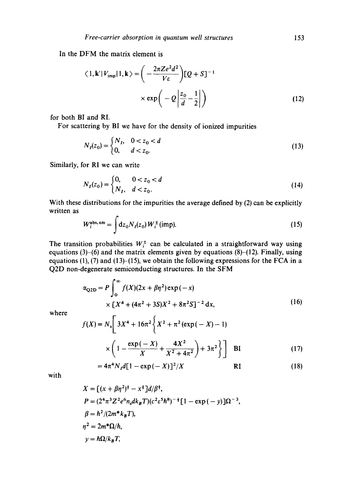In the DFM the matrix element is

$$
\langle 1, \mathbf{k'} | V_{\text{imp}} | 1, \mathbf{k} \rangle = \left( -\frac{2\pi Ze^2 d^2}{V \varepsilon} \right) [Q + S]^{-1}
$$

$$
\times \exp \left( -Q \left| \frac{z_0}{d} - \frac{1}{2} \right| \right) \tag{12}
$$

for both BI and RI.

For scattering by BI we have for the density of ionized impurities

$$
N_I(z_0) = \begin{cases} N_I, & 0 < z_0 < d \\ 0, & d < z_0. \end{cases}
$$
 (13)

Similarly, for RI we can write

$$
N_I(z_0) = \begin{cases} 0, & 0 < z_0 < d \\ N_I, & d < z_0. \end{cases} \tag{14}
$$

With these distributions for the impurities the average defined by (2) can be explicitly written as  $\mathbb{R}^2$ 

$$
W_i^{\text{abs, em}} = \int dz_0 N_I(z_0) W_i^{\pm} \text{(imp)}.
$$
 (15)

The transition probabilities  $W_i^{\pm}$  can be calculated in a straightforward way using equations (3)-(6) and the matrix elements given by equations  $(8)$ -(12). Finally, using equations (1), (7) and (13)–(15), we obtain the following expressions for the FCA in a Q2D non-degenerate semiconducting structures. In the SFM

$$
\alpha_{\text{Q2D}} = P \int_0^\infty f(X)(2x + \beta \eta^2) \exp(-x) \times [X^4 + (4\pi^2 + 3S)X^2 + 8\pi^2 S]^{-2} dx,
$$
\n(16)

where

$$
f(X) = N_s \left[ 3X^4 + 16\pi^2 \left\{ X^2 + \pi^2 (\exp(-X) - 1) \right\} \right]
$$
  
 
$$
\times \left( 1 - \frac{\exp(-X)}{X} + \frac{4X^2}{X^2 + 4\pi^2} \right) + 3\pi^2 \left\{ \right\}
$$
 BI (17)

$$
=4\pi^4 N_I d[1-\exp(-X)]^2/X
$$
 RI (18)

with

$$
X = [(x + \beta\eta^2)^{\frac{1}{2}} - x^{\frac{1}{2}}]d/\beta^{\frac{1}{2}},
$$
  
\n
$$
P = (2^4\pi^3 Z^2 e^6 n_s dk_B T)(c^2 \varepsilon^5 \hbar^8)^{-\frac{1}{2}} [1 - \exp(-y)]\Omega^{-3},
$$
  
\n
$$
\beta = \hbar^2/(2m^* k_B T),
$$
  
\n
$$
\eta^2 = 2m^* \Omega/\hbar,
$$
  
\n
$$
y = \hbar\Omega/k_B T,
$$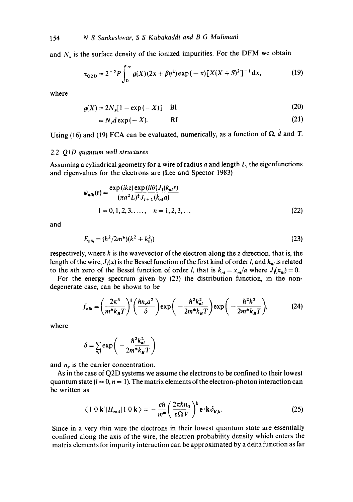154 *N S Sankeshwar, S S Kubakaddi and B G Mulimani* 

and  $N_s$  is the surface density of the ionized impurities. For the DFM we obtain

$$
\alpha_{\text{Q2D}} = 2^{-2} P \int_0^\infty g(X) (2x + \beta \eta^2) \exp(-x) [X(X + S)^2]^{-1} dx, \tag{19}
$$

where

$$
g(X) = 2Ns[1 - \exp(-X)] \quad \text{BI}
$$
 (20)

$$
= N_t d \exp(-X). \qquad \qquad \text{RI} \tag{21}
$$

Using (16) and (19) FCA can be evaluated, numerically, as a function of  $\Omega$ , d and T.

#### 2.2 *Q1D quantum well structures*

Assuming a cylindrical geometry for a wire of radius  $a$  and length  $L$ , the eigenfunctions and eigenvalues for the electrons are (Lee and Spector 1983)

$$
\psi_{nlk}(\mathbf{r}) = \frac{\exp(ikz)\exp(i l\theta)J_{l}(k_{nl}r)}{(\pi a^{2}L)^{\frac{1}{2}}J_{l+1}(k_{nl}a)}
$$
  
1 = 0, 1, 2, 3, ..., n = 1, 2, 3, ... (22)

and

$$
E_{nik} = (\hbar^2/2m^*)(k^2 + k_{nl}^2)
$$
 (23)

respectively, where  $k$  is the wavevector of the electron along the  $z$  direction, that is, the length of the wire,  $J_i(x)$  is the Bessel function of the first kind of order l, and  $k_{ni}$  is related to the *n*th zero of the Bessel function of order *l*, that is  $k_{ni} = x_{ni}/a$  where  $J_i(x_{ni}) = 0$ .

For the energy spectrum given by (23) the distribution function, in the nondegenerate case, can be shown to be

$$
f_{nlk} = \left(\frac{2\pi^3}{m^*k_BT}\right)^{\dagger} \left(\frac{hn_e a^2}{\delta}\right) \exp\left(-\frac{\hbar^2 k_{nl}^2}{2m^*k_BT}\right) \exp\left(-\frac{\hbar^2 k^2}{2m^*k_BT}\right),\tag{24}
$$

where

$$
\delta = \sum_{n,l} \exp\bigg(-\frac{\hbar^2 k_{nl}^2}{2m^* k_B T}\bigg)
$$

and  $n_e$  is the carrier concentration.

As in the case of Q2D systems we assume the electrons to be confined to their lowest quantum state  $(l = 0, n = 1)$ . The matrix elements of the electron-photon interaction can be written as

$$
\langle 1 \ 0 \ \mathbf{k'} | H_{\rm rad} | 1 \ 0 \ \mathbf{k} \rangle = -\frac{e\hbar}{m^*} \left( \frac{2\pi\hbar n_0}{\varepsilon \Omega V} \right)^{\frac{1}{2}} \mathbf{e} \cdot \mathbf{k} \, \delta_{\mathbf{k}, \mathbf{k}}.
$$

Since in a very thin wire the electrons in their lowest quantum state are essentially confined along the axis of the wire, the electron probability density which enters the matrix elements for impurity interaction can be approximated by a delta function as far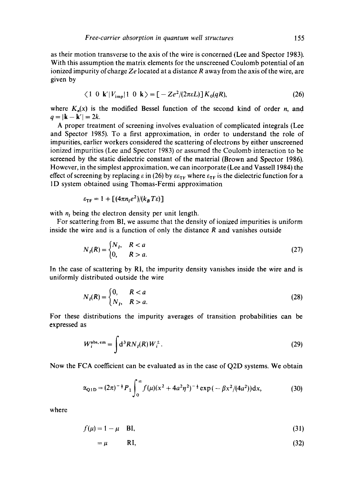as their motion transverse to the axis of the wire is concerned (Lee and Spector 1983). With this assumption the matrix elements for the unscreened Coulomb potential of an ionized impurity of charge *Ze* located at a distance R away from the axis of the wire, are given by

$$
\langle 1 \ 0 \ k'|V_{\rm imp}|1 \ 0 \ k \rangle = [-Ze^2/(2\pi\epsilon L)]K_0(qR), \tag{26}
$$

where  $K_n(x)$  is the modified Bessel function of the second kind of order n, and  $q = |{\bf k} - {\bf k}'| = 2k$ .

A proper treatment of screening involves evaluation of complicated integrals (Lee and Spector 1985). To a first approximation, in order to understand the role of impurities, earlier workers considered the scattering of electrons by either unscreened ionized impurities (Lee and Spector 1983) or assumed the Coulomb interaction to be screened by the static dielectric constant of the material (Brown and Spector 1986). However, in the simplest approximation, we can incorporate (Lee and Vassell 1984) the effect of screening by replacing  $\varepsilon$  in (26) by  $\varepsilon \varepsilon_{TF}$  where  $\varepsilon_{TF}$  is the dielectric function for a 1D system obtained using Thomas-Fermi approximation

$$
\varepsilon_{\rm TF} = 1 + \left[ (4\pi n_l e^2)/(k_B T \varepsilon) \right]
$$

with  $n_l$  being the electron density per unit length.

For scattering from BI, we assume that the density of ionized impurities is uniform inside the wire and is a function of only the distance  $R$  and vanishes outside

$$
N_I(R) = \begin{cases} N_I, & R < a \\ 0, & R > a. \end{cases} \tag{27}
$$

In the case of scattering by RI, the impurity density vanishes inside the wire and is uniformly distributed outside the wire

$$
N_I(R) = \begin{cases} 0, & R < a \\ N_I, & R > a. \end{cases} \tag{28}
$$

For these distributions the impurity averages of transition probabilities can be expressed as

$$
W_i^{\text{abs, em}} = \int \mathrm{d}^3 R N_I(R) \, W_i^{\pm} \,. \tag{29}
$$

Now the FCA coefficient can be evaluated as in the case of Q2D systems. We obtain

$$
\alpha_{\text{Q1D}} = (2\pi)^{-\frac{1}{2}} P_1 \int_0^\infty f(\mu) (x^2 + 4a^2 \eta^2)^{-\frac{1}{2}} \exp(-\beta x^2 / (4a^2)) \, dx,\tag{30}
$$

where

$$
f(\mu) = 1 - \mu \quad \text{BI},\tag{31}
$$

$$
=\mu \qquad \text{R1},\tag{32}
$$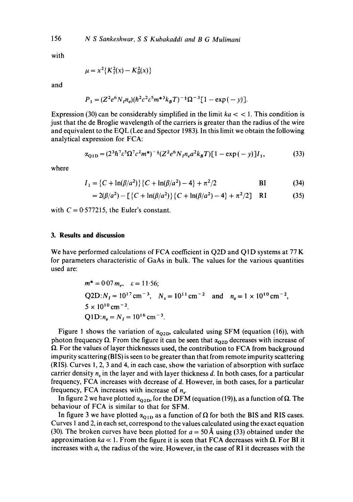with

$$
\mu = x^2 \{ K_1^2(x) - K_0^2(x) \}
$$

and

$$
P_1 = (Z^2 e^6 N_I n_e) (\hbar^2 c^2 \varepsilon^5 m^{*3} k_B T)^{-\frac{1}{2}} \Omega^{-3} [1 - \exp(-y)].
$$

Expression (30) can be considerably simplified in the limit  $ka <$  < 1. This condition is just that the de Broglie wavelength of the carriers is greater than the radius of the wire and equivalent to the EQL (Lee and Spector 1983). In this limit we obtain the following analytical expression for FCA:

$$
\alpha_{\text{Q1D}} = (2^3 \hbar^7 \varepsilon^5 \Omega^7 c^2 m^*)^{-\frac{1}{2}} (Z^2 e^6 N_I n_e a^2 k_B T) [1 - \exp(-y)] I_1,\tag{33}
$$

where

$$
I_1 = \{C + \ln(\beta/a^2)\} \{C + \ln(\beta/a^2) - 4\} + \pi^2/2
$$
 \t\t\t\tBI \t\t\t(34)

$$
= 2(\beta/a^2) - \left[ \left\{ C + \ln(\beta/a^2) \right\} \left\{ C + \ln(\beta/a^2) - 4 \right\} + \pi^2/2 \right] \quad \text{RI} \tag{35}
$$

with  $C = 0.577215$ , the Euler's constant.

# **3. Results and discussion**

We have performed calculations of FCA coefficient in Q2D and Q1D systems at 77 K for parameters characteristic of GaAs in bulk. The values for the various quantities used are:

$$
m^* = 0.07 m_e, \quad \varepsilon = 11.56;
$$
  
Q2D:  $N_I = 10^{17} \text{ cm}^{-3}$ ,  $N_s = 10^{11} \text{ cm}^{-2}$  and  $n_s = 1 \times 10^{10} \text{ cm}^{-2}$ ,  
 $5 \times 10^{10} \text{ cm}^{-2}$ .  
Q1D:  $n_e = N_I = 10^{16} \text{ cm}^{-3}$ .

Figure 1 shows the variation of  $\alpha_{\rm O2D}$ , calculated using SFM (equation (16)), with photon frequency  $\Omega$ . From the figure it can be seen that  $\alpha_{02D}$  decreases with increase of  $\Omega$ . For the values of layer thicknesses used, the contribution to FCA from background impurity scattering (BIS) is seen to be greater than that from remote impurity scattering (RIS). Curves 1, 2, 3 and 4, in each case, show the variation of absorption with surface carrier density  $n_s$  in the layer and with layer thickness d. In both cases, for a particular frequency, FCA increases with decrease of d. However, in both cases, for a particular frequency, FCA increases with increase of  $n_{\rm v}$ .

In figure 2 we have plotted  $\alpha_{02D}$ , for the DFM (equation (19)), as a function of  $\Omega$ . The behaviour of FCA is similar to that for SFM.

In figure 3 we have plotted  $\alpha_{01D}$  as a function of  $\Omega$  for both the BIS and RIS cases. Curves I and 2, in each set, correspond to the values calculated using the exact equation (30). The broken curves have been plotted for  $a = 50~\text{\AA}$  using (33) obtained under the approximation  $ka \ll 1$ . From the figure it is seen that FCA decreases with  $\Omega$ . For BI it increases with a, the radius of the wire. However, in the case of RI it decreases with the

156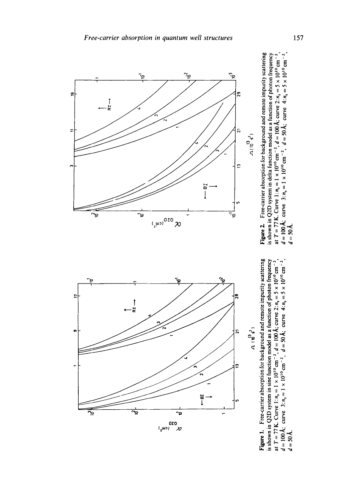

l=, t., Figure 1. Free-carrier absorption for background and remote impurity scattering<br>is shown in Q2D system in sine function model as a function of photon frequency<br>at  $T = 77$  K. Curve 1:  $n_a = 1 \times 10^{10}$  cm<sup>-2</sup>,  $d = 100$  Å; c ==Q t.~ **ga~. o bsorpt**<br>
in sine<br>  $= 1 \times 1$ <br>  $\frac{1}{1} \times 1$  $E$   $\frac{1}{2}$   $\frac{1}{2}$   $\frac{1}{2}$  .  $E$ **E** ..~ ~ -,~ -~



س بہ *ب*≺ وب ដូទ្រី់ ខ្  $\frac{1}{9}$  $\frac{1}{9}$  $\frac{1}{5}$  $\frac{1}{5}$  $\frac{1}{5}$  $\frac{1}{5}$ ,~'= E Figure 2. Free-carrier absorption for background and remote impurity scattering " = " e- **~** '7- ~-~" t-- ,~ **.**  .<br>E 3 = <del>4 +</del>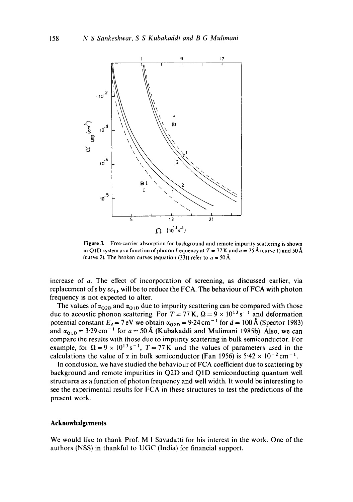

**Figure 3. Free-carrier absorption for background and remote impurity scattering is shown**  in Q1D system as a function of photon frequency at  $T = 77$  K and  $a = 25$  Å (curve 1) and 50 Å (curve 2). The broken curves (equation (33)) refer to  $a = 50$  Å.

**increase of a. The effect of incorporation of screening, as discussed earlier, via**  replacement of  $\epsilon$  by  $\epsilon \epsilon_{TF}$  will be to reduce the FCA. The behaviour of FCA with photon **frequency is not expected to alter.** 

The values of  $\alpha_{\text{Q2D}}$  and  $\alpha_{\text{Q1D}}$  due to impurity scattering can be compared with those due to acoustic phonon scattering. For  $T = 77$  K,  $\Omega = 9 \times 10^{13}$  s<sup>-1</sup> and deformation potential constant  $E_d = 7$  eV we obtain  $\alpha_{0.2D} = 9.24$  cm<sup>-1</sup> for  $d = 100$  A (Spector 1983) and  $\alpha_{01D} = 3.29 \text{ cm}^{-1}$  for  $a = 50 \text{ Å}$  (Kubakaddi and Mulimani 1985b). Also, we can **compare the results with those due to impurity scattering in bulk semiconductor. For**  example, for  $\Omega = 9 \times 10^{13}$  s<sup>-1</sup>,  $T = 77$  K and the values of parameters used in the calculations the value of  $\alpha$  in bulk semiconductor (Fan 1956) is  $5.42 \times 10^{-2}$  cm<sup>-1</sup>.

**In conclusion, we have studied the behaviour of FCA coefficient due to scattering by background and remote impurities in Q2D and Q ID semiconducting quantum well structures as a function of photon frequency and well width. It would be interesting to see the experimental results for FCA in these structures to test the predictions of the present work.** 

### **Acknowledgements**

**We would like to thank Prof. M I Savadatti for his interest in the work. One of the authors (NSS) in thankful to UGC (India) for financial support.**